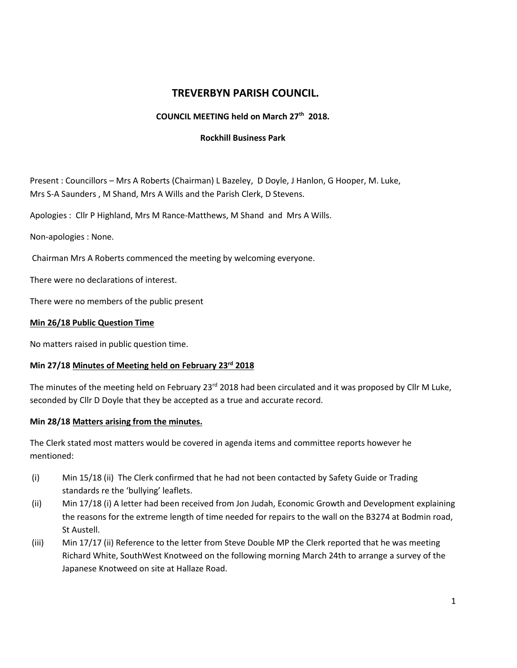# **TREVERBYN PARISH COUNCIL.**

## **COUNCIL MEETING held on March 27 th 2018.**

#### **Rockhill Business Park**

Present : Councillors – Mrs A Roberts (Chairman) L Bazeley, D Doyle, J Hanlon, G Hooper, M. Luke, Mrs S-A Saunders , M Shand, Mrs A Wills and the Parish Clerk, D Stevens.

Apologies : Cllr P Highland, Mrs M Rance-Matthews, M Shand and Mrs A Wills.

Non-apologies : None.

Chairman Mrs A Roberts commenced the meeting by welcoming everyone.

There were no declarations of interest.

There were no members of the public present

### **Min 26/18 Public Question Time**

No matters raised in public question time.

### **Min 27/18 Minutes of Meeting held on February 23rd 2018**

The minutes of the meeting held on February 23<sup>rd</sup> 2018 had been circulated and it was proposed by Cllr M Luke, seconded by Cllr D Doyle that they be accepted as a true and accurate record.

### **Min 28/18 Matters arising from the minutes.**

The Clerk stated most matters would be covered in agenda items and committee reports however he mentioned:

- (i) Min 15/18 (ii) The Clerk confirmed that he had not been contacted by Safety Guide or Trading standards re the 'bullying' leaflets.
- (ii) Min 17/18 (i) A letter had been received from Jon Judah, Economic Growth and Development explaining the reasons for the extreme length of time needed for repairs to the wall on the B3274 at Bodmin road, St Austell.
- (iii) Min 17/17 (ii) Reference to the letter from Steve Double MP the Clerk reported that he was meeting Richard White, SouthWest Knotweed on the following morning March 24th to arrange a survey of the Japanese Knotweed on site at Hallaze Road.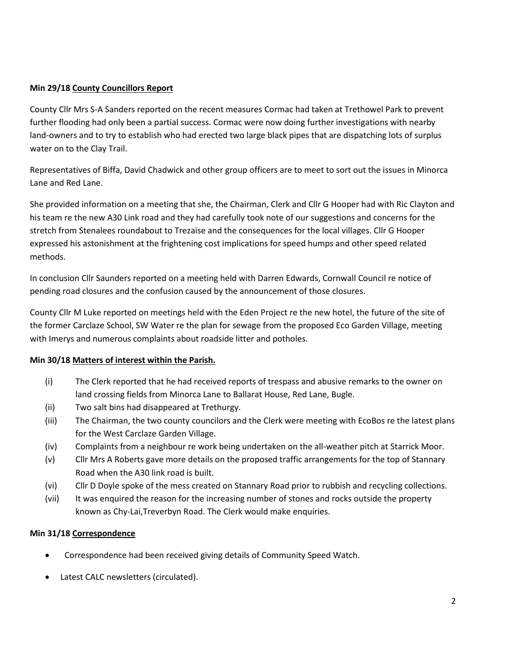## **Min 29/18 County Councillors Report**

County Cllr Mrs S-A Sanders reported on the recent measures Cormac had taken at Trethowel Park to prevent further flooding had only been a partial success. Cormac were now doing further investigations with nearby land-owners and to try to establish who had erected two large black pipes that are dispatching lots of surplus water on to the Clay Trail.

Representatives of Biffa, David Chadwick and other group officers are to meet to sort out the issues in Minorca Lane and Red Lane.

She provided information on a meeting that she, the Chairman, Clerk and Cllr G Hooper had with Ric Clayton and his team re the new A30 Link road and they had carefully took note of our suggestions and concerns for the stretch from Stenalees roundabout to Trezaise and the consequences for the local villages. Cllr G Hooper expressed his astonishment at the frightening cost implications for speed humps and other speed related methods.

In conclusion Cllr Saunders reported on a meeting held with Darren Edwards, Cornwall Council re notice of pending road closures and the confusion caused by the announcement of those closures.

County Cllr M Luke reported on meetings held with the Eden Project re the new hotel, the future of the site of the former Carclaze School, SW Water re the plan for sewage from the proposed Eco Garden Village, meeting with Imerys and numerous complaints about roadside litter and potholes.

### **Min 30/18 Matters of interest within the Parish.**

- (i) The Clerk reported that he had received reports of trespass and abusive remarks to the owner on land crossing fields from Minorca Lane to Ballarat House, Red Lane, Bugle.
- (ii) Two salt bins had disappeared at Trethurgy.
- (iii) The Chairman, the two county councilors and the Clerk were meeting with EcoBos re the latest plans for the West Carclaze Garden Village.
- (iv) Complaints from a neighbour re work being undertaken on the all-weather pitch at Starrick Moor.
- (v) Cllr Mrs A Roberts gave more details on the proposed traffic arrangements for the top of Stannary Road when the A30 link road is built.
- (vi) Cllr D Doyle spoke of the mess created on Stannary Road prior to rubbish and recycling collections.
- (vii) It was enquired the reason for the increasing number of stones and rocks outside the property known as Chy-Lai,Treverbyn Road. The Clerk would make enquiries.

### **Min 31/18 Correspondence**

- Correspondence had been received giving details of Community Speed Watch.
- Latest CALC newsletters (circulated).